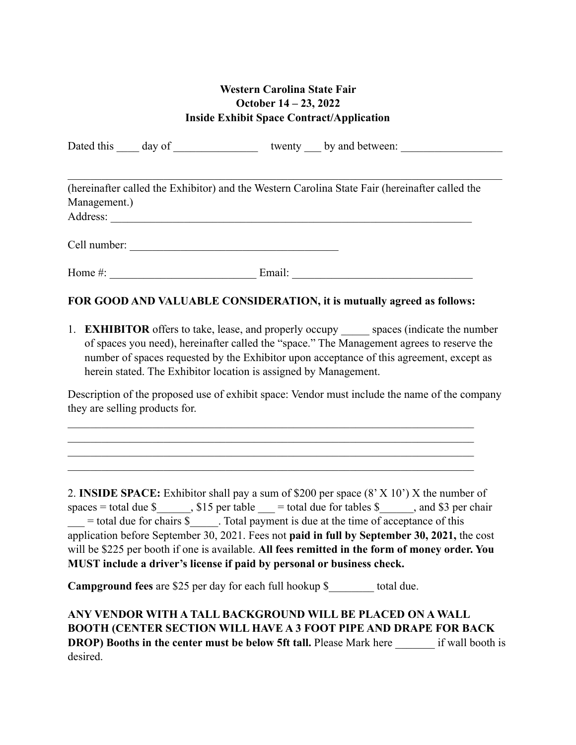## **Western Carolina State Fair October 14 – 23, 2022 Inside Exhibit Space Contract/Application**

| Dated this day of | twenty by and between: |  |
|-------------------|------------------------|--|
|                   |                        |  |

 $\mathcal{L}_\mathcal{L} = \{ \mathcal{L}_\mathcal{L} = \{ \mathcal{L}_\mathcal{L} = \{ \mathcal{L}_\mathcal{L} = \{ \mathcal{L}_\mathcal{L} = \{ \mathcal{L}_\mathcal{L} = \{ \mathcal{L}_\mathcal{L} = \{ \mathcal{L}_\mathcal{L} = \{ \mathcal{L}_\mathcal{L} = \{ \mathcal{L}_\mathcal{L} = \{ \mathcal{L}_\mathcal{L} = \{ \mathcal{L}_\mathcal{L} = \{ \mathcal{L}_\mathcal{L} = \{ \mathcal{L}_\mathcal{L} = \{ \mathcal{L}_\mathcal{$ (hereinafter called the Exhibitor) and the Western Carolina State Fair (hereinafter called the Management.) Address: Cell number:

| TT<br>$\sim$ $\sim$ $\sim$ $\sim$ $\sim$<br>Home | .<br>лнан. |  |
|--------------------------------------------------|------------|--|
|                                                  |            |  |

## **FOR GOOD AND VALUABLE CONSIDERATION, it is mutually agreed as follows:**

1. **EXHIBITOR** offers to take, lease, and properly occupy spaces (indicate the number of spaces you need), hereinafter called the "space." The Management agrees to reserve the number of spaces requested by the Exhibitor upon acceptance of this agreement, except as herein stated. The Exhibitor location is assigned by Management.

Description of the proposed use of exhibit space: Vendor must include the name of the company they are selling products for.

 $\mathcal{L}_\text{max}$  , and the contribution of the contribution of the contribution of the contribution of the contribution of the contribution of the contribution of the contribution of the contribution of the contribution of t  $\mathcal{L}_\text{max}$  , and the contribution of the contribution of the contribution of the contribution of the contribution of the contribution of the contribution of the contribution of the contribution of the contribution of t  $\mathcal{L}_\text{max}$  , and the contribution of the contribution of the contribution of the contribution of the contribution of the contribution of the contribution of the contribution of the contribution of the contribution of t  $\mathcal{L}_\text{max}$  , and the contribution of the contribution of the contribution of the contribution of the contribution of the contribution of the contribution of the contribution of the contribution of the contribution of t

2. **INSIDE SPACE:** Exhibitor shall pay a sum of \$200 per space (8' X 10') X the number of spaces = total due \$  $\qquad$ , \$15 per table  $\qquad$  = total due for tables \$, and \$3 per chair = total due for chairs \$\_\_\_\_\_. Total payment is due at the time of acceptance of this application before September 30, 2021. Fees not **paid in full by September 30, 2021,** the cost will be \$225 per booth if one is available. **All fees remitted in the form of money order. You MUST include a driver's license if paid by personal or business check.** 

**Campground fees** are \$25 per day for each full hookup \$ total due.

**ANY VENDOR WITH A TALL BACKGROUND WILL BE PLACED ON A WALL BOOTH (CENTER SECTION WILL HAVE A 3 FOOT PIPE AND DRAPE FOR BACK DROP)** Booths in the center must be below 5ft tall. Please Mark here if wall booth is desired.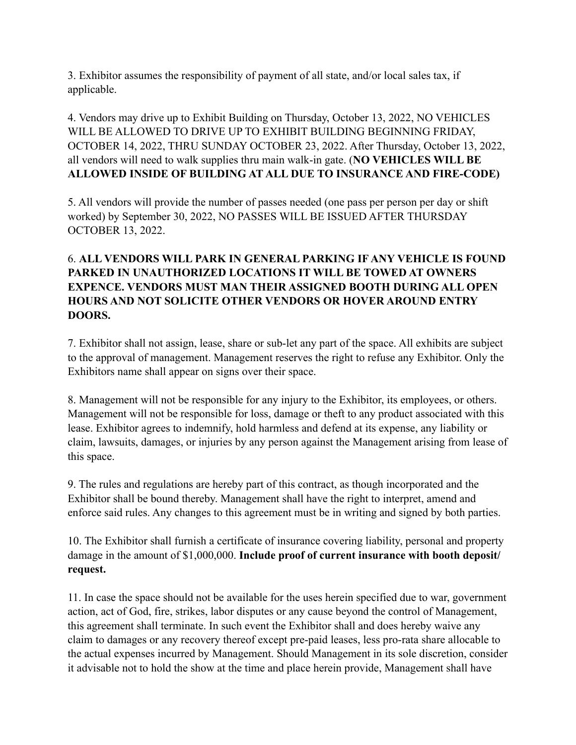3. Exhibitor assumes the responsibility of payment of all state, and/or local sales tax, if applicable.

4. Vendors may drive up to Exhibit Building on Thursday, October 13, 2022, NO VEHICLES WILL BE ALLOWED TO DRIVE UP TO EXHIBIT BUILDING BEGINNING FRIDAY, OCTOBER 14, 2022, THRU SUNDAY OCTOBER 23, 2022. After Thursday, October 13, 2022, all vendors will need to walk supplies thru main walk-in gate. (**NO VEHICLES WILL BE ALLOWED INSIDE OF BUILDING AT ALL DUE TO INSURANCE AND FIRE-CODE)** 

5. All vendors will provide the number of passes needed (one pass per person per day or shift worked) by September 30, 2022, NO PASSES WILL BE ISSUED AFTER THURSDAY OCTOBER 13, 2022.

## 6. **ALL VENDORS WILL PARK IN GENERAL PARKING IF ANY VEHICLE IS FOUND PARKED IN UNAUTHORIZED LOCATIONS IT WILL BE TOWED AT OWNERS EXPENCE. VENDORS MUST MAN THEIR ASSIGNED BOOTH DURING ALL OPEN HOURS AND NOT SOLICITE OTHER VENDORS OR HOVER AROUND ENTRY DOORS.**

7. Exhibitor shall not assign, lease, share or sub-let any part of the space. All exhibits are subject to the approval of management. Management reserves the right to refuse any Exhibitor. Only the Exhibitors name shall appear on signs over their space.

8. Management will not be responsible for any injury to the Exhibitor, its employees, or others. Management will not be responsible for loss, damage or theft to any product associated with this lease. Exhibitor agrees to indemnify, hold harmless and defend at its expense, any liability or claim, lawsuits, damages, or injuries by any person against the Management arising from lease of this space.

9. The rules and regulations are hereby part of this contract, as though incorporated and the Exhibitor shall be bound thereby. Management shall have the right to interpret, amend and enforce said rules. Any changes to this agreement must be in writing and signed by both parties.

10. The Exhibitor shall furnish a certificate of insurance covering liability, personal and property damage in the amount of \$1,000,000. **Include proof of current insurance with booth deposit/ request.**

11. In case the space should not be available for the uses herein specified due to war, government action, act of God, fire, strikes, labor disputes or any cause beyond the control of Management, this agreement shall terminate. In such event the Exhibitor shall and does hereby waive any claim to damages or any recovery thereof except pre-paid leases, less pro-rata share allocable to the actual expenses incurred by Management. Should Management in its sole discretion, consider it advisable not to hold the show at the time and place herein provide, Management shall have